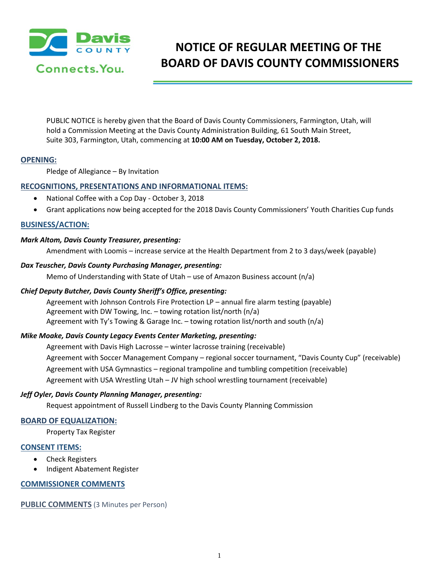

# **NOTICE OF REGULAR MEETING OF THE BOARD OF DAVIS COUNTY COMMISSIONERS**

PUBLIC NOTICE is hereby given that the Board of Davis County Commissioners, Farmington, Utah, will hold a Commission Meeting at the Davis County Administration Building, 61 South Main Street, Suite 303, Farmington, Utah, commencing at **10:00 AM on Tuesday, October 2, 2018.**

## **OPENING:**

Pledge of Allegiance – By Invitation

## **RECOGNITIONS, PRESENTATIONS AND INFORMATIONAL ITEMS:**

- National Coffee with a Cop Day October 3, 2018
- Grant applications now being accepted for the 2018 Davis County Commissioners' Youth Charities Cup funds

## **BUSINESS/ACTION:**

### *Mark Altom, Davis County Treasurer, presenting:*

Amendment with Loomis – increase service at the Health Department from 2 to 3 days/week (payable)

#### *Dax Teuscher, Davis County Purchasing Manager, presenting:*

Memo of Understanding with State of Utah – use of Amazon Business account  $(n/a)$ 

### *Chief Deputy Butcher, Davis County Sheriff's Office, presenting:*

Agreement with Johnson Controls Fire Protection LP – annual fire alarm testing (payable) Agreement with DW Towing, Inc. – towing rotation list/north (n/a) Agreement with Ty's Towing & Garage Inc. – towing rotation list/north and south (n/a)

### *Mike Moake, Davis County Legacy Events Center Marketing, presenting:*

Agreement with Davis High Lacrosse – winter lacrosse training (receivable) Agreement with Soccer Management Company – regional soccer tournament, "Davis County Cup" (receivable) Agreement with USA Gymnastics – regional trampoline and tumbling competition (receivable) Agreement with USA Wrestling Utah – JV high school wrestling tournament (receivable)

### *Jeff Oyler, Davis County Planning Manager, presenting:*

Request appointment of Russell Lindberg to the Davis County Planning Commission

### **BOARD OF EQUALIZATION:**

Property Tax Register

### **CONSENT ITEMS:**

- Check Registers
- Indigent Abatement Register

### **COMMISSIONER COMMENTS**

**PUBLIC COMMENTS** (3 Minutes per Person)